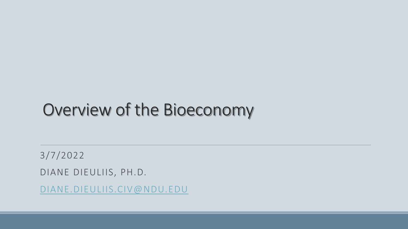### Overview of the Bioeconomy

3/7/2022 DIANE DIEULIIS, PH.D. [DIANE.DIEULIIS.CIV@NDU.EDU](mailto:Diane.dieuliis.civ@ndu.edu)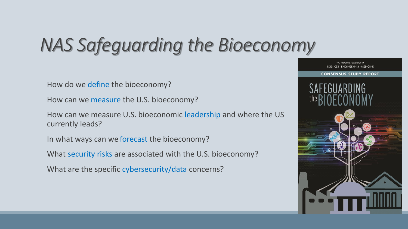# *NAS Safeguarding the Bioeconomy*

How do we define the bioeconomy?

How can we measure the U.S. bioeconomy?

How can we measure U.S. bioeconomic leadership and where the US currently leads?

In what ways can we forecast the bioeconomy?

What security risks are associated with the U.S. bioeconomy?

What are the specific cybersecurity/data concerns?

The National Academies of SCIENCES · ENGINEERING · MEDICINE

#### **CONSENSUS STUDY REPORT**

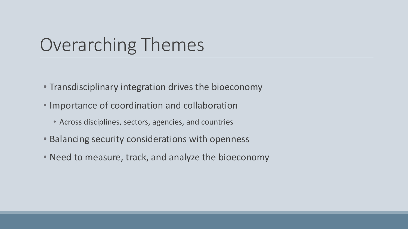# Overarching Themes

- Transdisciplinary integration drives the bioeconomy
- Importance of coordination and collaboration
	- Across disciplines, sectors, agencies, and countries
- Balancing security considerations with openness
- Need to measure, track, and analyze the bioeconomy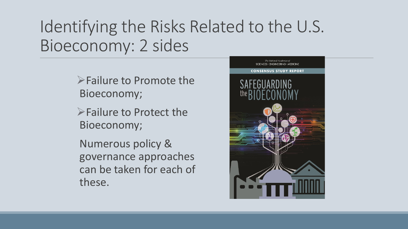### Identifying the Risks Related to the U.S. Bioeconomy: 2 sides

Failure to Promote the Bioeconomy;

Failure to Protect the Bioeconomy;

Numerous policy & governance approaches can be taken for each of these.

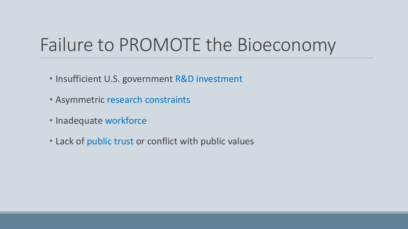# Failure to PROMOTE the Bioeconomy

- Insufficient U.S. government R&D investment
- Asymmetric research constraints
- Inadequate workforce
- Lack of public trust or conflict with public values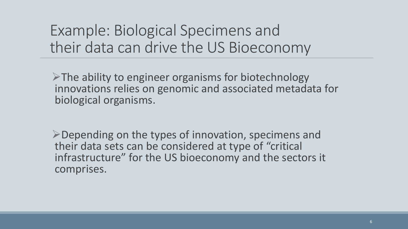#### Example: Biological Specimens and their data can drive the US Bioeconomy

 $\triangleright$ The ability to engineer organisms for biotechnology innovations relies on genomic and associated metadata for biological organisms.

Depending on the types of innovation, specimens and their data sets can be considered at type of "critical infrastructure" for the US bioeconomy and the sectors it comprises.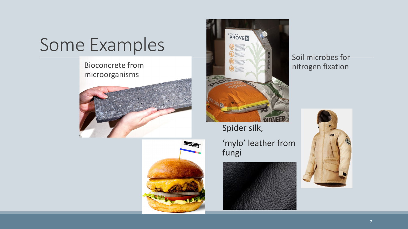Bioconcrete from microorganisms







Spider silk,

'mylo' leather from fungi





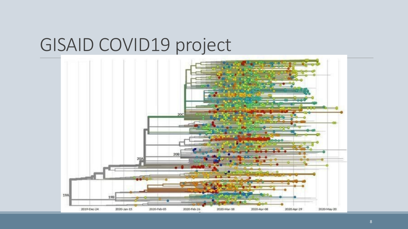### GISAID COVID19 project

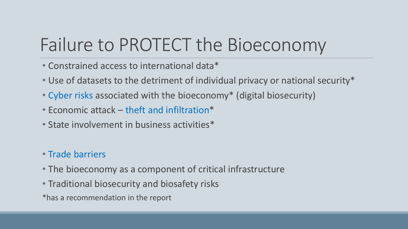# Failure to PROTECT the Bioeconomy

- Constrained access to international data\*
- Use of datasets to the detriment of individual privacy or national security\*
- Cyber risks associated with the bioeconomy\* (digital biosecurity)
- Economic attack theft and infiltration\*
- State involvement in business activities\*

#### • Trade barriers

- The bioeconomy as a component of critical infrastructure
- Traditional biosecurity and biosafety risks
- \*has a recommendation in the report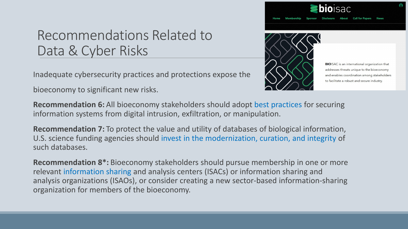$OISAC$ 

#### Recommendations Related to Data & Cyber Risks

Inadequate cybersecurity practices and protections expose the

bioeconomy to significant new risks.



**BIO**ISAC is an international organization that addresses threats unique to the bioeconomy and enables coordination among stakeholders to facilitate a robust and secure industry.

**Recommendation 6:** All bioeconomy stakeholders should adopt best practices for securing information systems from digital intrusion, exfiltration, or manipulation.

**Recommendation 7:** To protect the value and utility of databases of biological information, U.S. science funding agencies should invest in the modernization, curation, and integrity of such databases.

**Recommendation 8\*:** Bioeconomy stakeholders should pursue membership in one or more relevant information sharing and analysis centers (ISACs) or information sharing and analysis organizations (ISAOs), or consider creating a new sector-based information-sharing organization for members of the bioeconomy.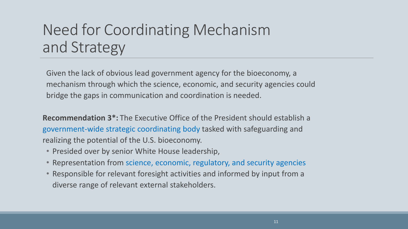#### Need for Coordinating Mechanism and Strategy

Given the lack of obvious lead government agency for the bioeconomy, a mechanism through which the science, economic, and security agencies could bridge the gaps in communication and coordination is needed.

**Recommendation 3\*:** The Executive Office of the President should establish a government-wide strategic coordinating body tasked with safeguarding and realizing the potential of the U.S. bioeconomy.

- Presided over by senior White House leadership,
- Representation from science, economic, regulatory, and security agencies
- Responsible for relevant foresight activities and informed by input from a diverse range of relevant external stakeholders.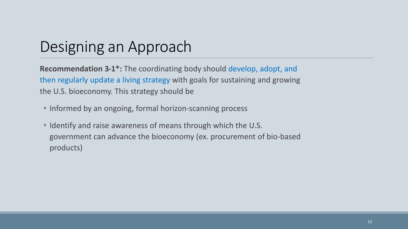#### Designing an Approach

**Recommendation 3-1\*:** The coordinating body should develop, adopt, and then regularly update a living strategy with goals for sustaining and growing the U.S. bioeconomy. This strategy should be

- Informed by an ongoing, formal horizon-scanning process
- Identify and raise awareness of means through which the U.S. government can advance the bioeconomy (ex. procurement of bio-based products)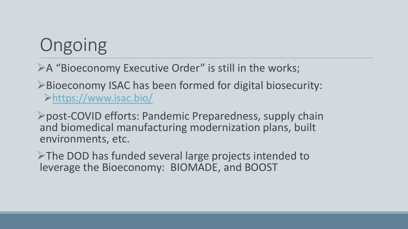# **Ongoing**

A "Bioeconomy Executive Order" is still in the works;

Bioeconomy ISAC has been formed for digital biosecurity: <https://www.isac.bio/>

post-COVID efforts: Pandemic Preparedness, supply chain and biomedical manufacturing modernization plans, built environments, etc.

 $\triangleright$ The DOD has funded several large projects intended to leverage the Bioeconomy: BIOMADE, and BOOST